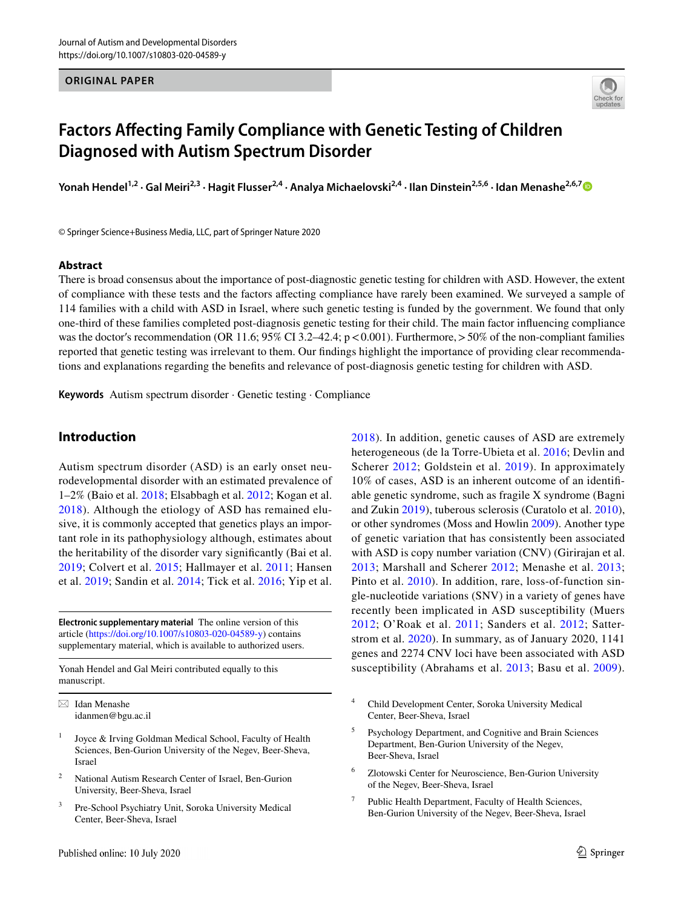#### **ORIGINAL PAPER**



# **Factors Afecting Family Compliance with Genetic Testing of Children Diagnosed with Autism Spectrum Disorder**

Yonah Hendel<sup>1,2</sup> · Gal Meiri<sup>2,3</sup> · Hagit Flusser<sup>2,4</sup> · Analya Michaelovski<sup>2,4</sup> · Ilan Dinstein<sup>2,5,6</sup> · Idan Menashe<sup>2,6,[7](http://orcid.org/0000-0003-1961-1461)</sup> ©

© Springer Science+Business Media, LLC, part of Springer Nature 2020

### **Abstract**

There is broad consensus about the importance of post-diagnostic genetic testing for children with ASD. However, the extent of compliance with these tests and the factors afecting compliance have rarely been examined. We surveyed a sample of 114 families with a child with ASD in Israel, where such genetic testing is funded by the government. We found that only one-third of these families completed post-diagnosis genetic testing for their child. The main factor infuencing compliance was the doctor's recommendation (OR 11.6; 95% CI 3.2–42.4;  $p < 0.001$ ). Furthermore,  $> 50\%$  of the non-compliant families reported that genetic testing was irrelevant to them. Our fndings highlight the importance of providing clear recommendations and explanations regarding the benefts and relevance of post-diagnosis genetic testing for children with ASD.

**Keywords** Autism spectrum disorder · Genetic testing · Compliance

# **Introduction**

Autism spectrum disorder (ASD) is an early onset neurodevelopmental disorder with an estimated prevalence of 1–2% (Baio et al. [2018](#page-7-0); Elsabbagh et al. [2012](#page-7-1); Kogan et al. [2018](#page-7-2)). Although the etiology of ASD has remained elusive, it is commonly accepted that genetics plays an important role in its pathophysiology although, estimates about the heritability of the disorder vary signifcantly (Bai et al. [2019;](#page-7-3) Colvert et al. [2015;](#page-7-4) Hallmayer et al. [2011](#page-7-5); Hansen et al. [2019;](#page-7-6) Sandin et al. [2014](#page-8-0); Tick et al. [2016;](#page-8-1) Yip et al.

**Electronic supplementary material** The online version of this article [\(https://doi.org/10.1007/s10803-020-04589-y\)](https://doi.org/10.1007/s10803-020-04589-y) contains supplementary material, which is available to authorized users.

Yonah Hendel and Gal Meiri contributed equally to this manuscript.

 $\boxtimes$  Idan Menashe idanmen@bgu.ac.il

- <sup>1</sup> Joyce & Irving Goldman Medical School, Faculty of Health Sciences, Ben-Gurion University of the Negev, Beer-Sheva, Israel
- <sup>2</sup> National Autism Research Center of Israel, Ben-Gurion University, Beer-Sheva, Israel
- Pre-School Psychiatry Unit, Soroka University Medical Center, Beer-Sheva, Israel

[2018](#page-8-2)). In addition, genetic causes of ASD are extremely heterogeneous (de la Torre-Ubieta et al. [2016;](#page-7-7) Devlin and Scherer [2012](#page-7-8); Goldstein et al. [2019](#page-7-9)). In approximately 10% of cases, ASD is an inherent outcome of an identifable genetic syndrome, such as fragile X syndrome (Bagni and Zukin [2019](#page-7-10)), tuberous sclerosis (Curatolo et al. [2010](#page-7-11)), or other syndromes (Moss and Howlin [2009](#page-7-12)). Another type of genetic variation that has consistently been associated with ASD is copy number variation (CNV) (Girirajan et al. [2013](#page-7-13); Marshall and Scherer [2012;](#page-7-14) Menashe et al. [2013](#page-7-15); Pinto et al. [2010\)](#page-8-3). In addition, rare, loss-of-function single-nucleotide variations (SNV) in a variety of genes have recently been implicated in ASD susceptibility (Muers [2012;](#page-8-4) O'Roak et al. [2011](#page-8-5); Sanders et al. [2012](#page-8-6); Satterstrom et al. [2020](#page-8-7)). In summary, as of January 2020, 1141 genes and 2274 CNV loci have been associated with ASD susceptibility (Abrahams et al. [2013](#page-7-16); Basu et al. [2009](#page-7-17)).

- <sup>4</sup> Child Development Center, Soroka University Medical Center, Beer-Sheva, Israel
- <sup>5</sup> Psychology Department, and Cognitive and Brain Sciences Department, Ben-Gurion University of the Negev, Beer-Sheva, Israel
- <sup>6</sup> Zlotowski Center for Neuroscience, Ben-Gurion University of the Negev, Beer-Sheva, Israel
- Public Health Department, Faculty of Health Sciences, Ben-Gurion University of the Negev, Beer-Sheva, Israel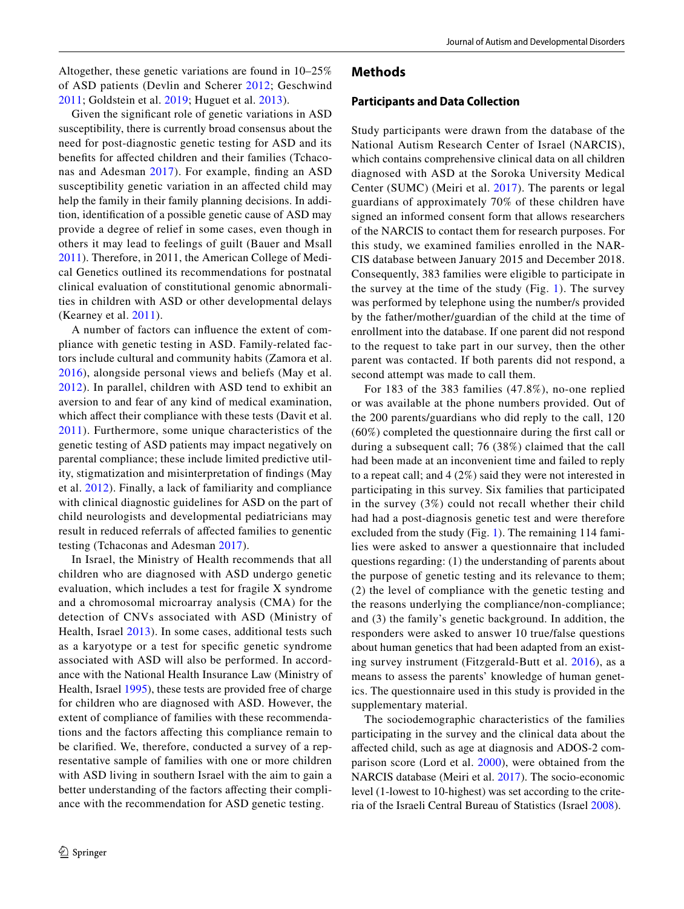Altogether, these genetic variations are found in 10–25% of ASD patients (Devlin and Scherer [2012](#page-7-8); Geschwind [2011;](#page-7-18) Goldstein et al. [2019](#page-7-9); Huguet et al. [2013](#page-7-19)).

Given the signifcant role of genetic variations in ASD susceptibility, there is currently broad consensus about the need for post-diagnostic genetic testing for ASD and its benefts for afected children and their families (Tchaconas and Adesman [2017\)](#page-8-8). For example, fnding an ASD susceptibility genetic variation in an afected child may help the family in their family planning decisions. In addition, identifcation of a possible genetic cause of ASD may provide a degree of relief in some cases, even though in others it may lead to feelings of guilt (Bauer and Msall [2011\)](#page-7-20). Therefore, in 2011, the American College of Medical Genetics outlined its recommendations for postnatal clinical evaluation of constitutional genomic abnormalities in children with ASD or other developmental delays (Kearney et al. [2011\)](#page-7-21).

A number of factors can infuence the extent of compliance with genetic testing in ASD. Family-related factors include cultural and community habits (Zamora et al. [2016](#page-8-9)), alongside personal views and beliefs (May et al. [2012](#page-7-22)). In parallel, children with ASD tend to exhibit an aversion to and fear of any kind of medical examination, which affect their compliance with these tests (Davit et al. [2011](#page-7-23)). Furthermore, some unique characteristics of the genetic testing of ASD patients may impact negatively on parental compliance; these include limited predictive utility, stigmatization and misinterpretation of fndings (May et al. [2012\)](#page-7-22). Finally, a lack of familiarity and compliance with clinical diagnostic guidelines for ASD on the part of child neurologists and developmental pediatricians may result in reduced referrals of afected families to genentic testing (Tchaconas and Adesman [2017](#page-8-8)).

In Israel, the Ministry of Health recommends that all children who are diagnosed with ASD undergo genetic evaluation, which includes a test for fragile X syndrome and a chromosomal microarray analysis (CMA) for the detection of CNVs associated with ASD (Ministry of Health, Israel [2013](#page-7-24)). In some cases, additional tests such as a karyotype or a test for specifc genetic syndrome associated with ASD will also be performed. In accordance with the National Health Insurance Law (Ministry of Health, Israel [1995](#page-7-25)), these tests are provided free of charge for children who are diagnosed with ASD. However, the extent of compliance of families with these recommendations and the factors afecting this compliance remain to be clarifed. We, therefore, conducted a survey of a representative sample of families with one or more children with ASD living in southern Israel with the aim to gain a better understanding of the factors afecting their compliance with the recommendation for ASD genetic testing.

#### **Methods**

#### **Participants and Data Collection**

Study participants were drawn from the database of the National Autism Research Center of Israel (NARCIS), which contains comprehensive clinical data on all children diagnosed with ASD at the Soroka University Medical Center (SUMC) (Meiri et al. [2017\)](#page-7-26). The parents or legal guardians of approximately 70% of these children have signed an informed consent form that allows researchers of the NARCIS to contact them for research purposes. For this study, we examined families enrolled in the NAR-CIS database between January 2015 and December 2018. Consequently, 383 families were eligible to participate in the survey at the time of the study (Fig. [1](#page-2-0)). The survey was performed by telephone using the number/s provided by the father/mother/guardian of the child at the time of enrollment into the database. If one parent did not respond to the request to take part in our survey, then the other parent was contacted. If both parents did not respond, a second attempt was made to call them.

For 183 of the 383 families (47.8%), no-one replied or was available at the phone numbers provided. Out of the 200 parents/guardians who did reply to the call, 120 (60%) completed the questionnaire during the frst call or during a subsequent call; 76 (38%) claimed that the call had been made at an inconvenient time and failed to reply to a repeat call; and 4 (2%) said they were not interested in participating in this survey. Six families that participated in the survey (3%) could not recall whether their child had had a post-diagnosis genetic test and were therefore excluded from the study (Fig. [1](#page-2-0)). The remaining 114 families were asked to answer a questionnaire that included questions regarding: (1) the understanding of parents about the purpose of genetic testing and its relevance to them; (2) the level of compliance with the genetic testing and the reasons underlying the compliance/non-compliance; and (3) the family's genetic background. In addition, the responders were asked to answer 10 true/false questions about human genetics that had been adapted from an existing survey instrument (Fitzgerald-Butt et al. [2016\)](#page-7-27), as a means to assess the parents' knowledge of human genetics. The questionnaire used in this study is provided in the supplementary material.

The sociodemographic characteristics of the families participating in the survey and the clinical data about the afected child, such as age at diagnosis and ADOS-2 comparison score (Lord et al. [2000\)](#page-7-28), were obtained from the NARCIS database (Meiri et al. [2017\)](#page-7-26). The socio-economic level (1-lowest to 10-highest) was set according to the criteria of the Israeli Central Bureau of Statistics (Israel [2008](#page-7-29)).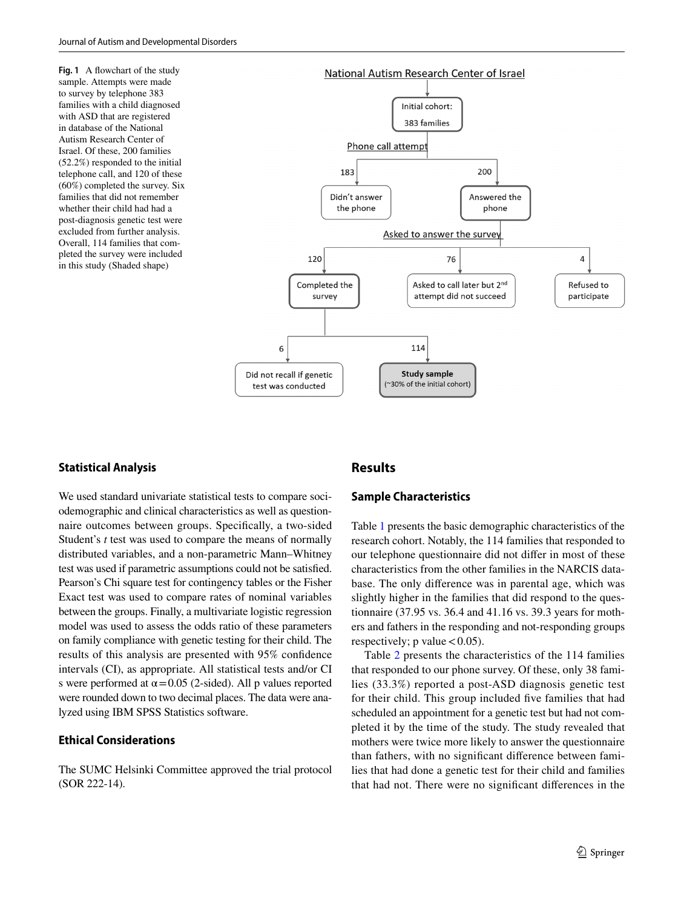<span id="page-2-0"></span>**Fig. 1** A flowchart of the study sample. Attempts were made to survey by telephone 383 families with a child diagnosed with ASD that are registered in database of the National Autism Research Center of Israel. Of these, 200 families (52.2%) responded to the initial telephone call, and 120 of these (60%) completed the survey. Six families that did not remember whether their child had had a post-diagnosis genetic test were excluded from further analysis. Overall, 114 families that completed the survey were included in this study (Shaded shape)



### **Statistical Analysis**

We used standard univariate statistical tests to compare sociodemographic and clinical characteristics as well as questionnaire outcomes between groups. Specifcally, a two-sided Student's *t* test was used to compare the means of normally distributed variables, and a non-parametric Mann–Whitney test was used if parametric assumptions could not be satisfed. Pearson's Chi square test for contingency tables or the Fisher Exact test was used to compare rates of nominal variables between the groups. Finally, a multivariate logistic regression model was used to assess the odds ratio of these parameters on family compliance with genetic testing for their child. The results of this analysis are presented with 95% confdence intervals (CI), as appropriate. All statistical tests and/or CI s were performed at  $\alpha$  = 0.05 (2-sided). All p values reported were rounded down to two decimal places. The data were analyzed using IBM SPSS Statistics software.

### **Ethical Considerations**

The SUMC Helsinki Committee approved the trial protocol (SOR 222-14).

# **Results**

## **Sample Characteristics**

Table [1](#page-3-0) presents the basic demographic characteristics of the research cohort. Notably, the 114 families that responded to our telephone questionnaire did not difer in most of these characteristics from the other families in the NARCIS database. The only diference was in parental age, which was slightly higher in the families that did respond to the questionnaire (37.95 vs. 36.4 and 41.16 vs. 39.3 years for mothers and fathers in the responding and not-responding groups respectively; p value  $< 0.05$ ).

Table [2](#page-4-0) presents the characteristics of the 114 families that responded to our phone survey. Of these, only 38 families (33.3%) reported a post-ASD diagnosis genetic test for their child. This group included fve families that had scheduled an appointment for a genetic test but had not completed it by the time of the study. The study revealed that mothers were twice more likely to answer the questionnaire than fathers, with no signifcant diference between families that had done a genetic test for their child and families that had not. There were no signifcant diferences in the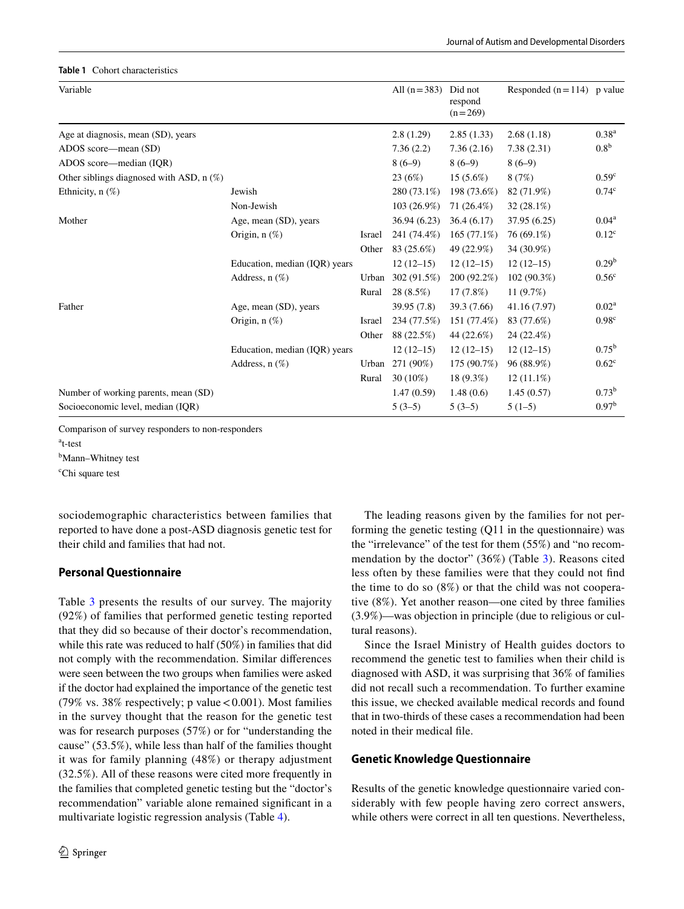#### <span id="page-3-0"></span>**Table 1** Cohort characteristics

| Variable                                   |                               |        | All $(n=383)$ | Did not<br>respond<br>$(n=269)$ | Responded $(n=114)$ p value |                   |
|--------------------------------------------|-------------------------------|--------|---------------|---------------------------------|-----------------------------|-------------------|
| Age at diagnosis, mean (SD), years         |                               |        | 2.8(1.29)     | 2.85(1.33)                      | 2.68(1.18)                  | $0.38^{a}$        |
| ADOS score—mean (SD)                       |                               |        | 7.36(2.2)     | 7.36(2.16)                      | 7.38(2.31)                  | 0.8 <sup>b</sup>  |
| ADOS score—median (IOR)                    |                               |        | $8(6-9)$      | $8(6-9)$                        | $8(6-9)$                    |                   |
| Other siblings diagnosed with ASD, $n$ (%) |                               |        | 23 (6%)       | $15(5.6\%)$                     | 8(7%)                       | 0.59 <sup>c</sup> |
| Ethnicity, $n$ $(\%)$                      | Jewish                        |        | 280 (73.1%)   | 198 (73.6%)                     | 82 (71.9%)                  | 0.74 <sup>c</sup> |
|                                            | Non-Jewish                    |        | 103 (26.9%)   | 71 (26.4%)                      | $32(28.1\%)$                |                   |
| Mother                                     | Age, mean (SD), years         |        | 36.94 (6.23)  | 36.4(6.17)                      | 37.95 (6.25)                | $0.04^{\rm a}$    |
|                                            | Origin, $n$ $(\%)$            | Israel | 241 (74.4%)   | $165(77.1\%)$                   | 76 (69.1%)                  | 0.12 <sup>c</sup> |
|                                            |                               | Other  | 83 (25.6%)    | 49 (22.9%)                      | 34 (30.9%)                  |                   |
|                                            | Education, median (IQR) years |        | $12(12-15)$   | $12(12-15)$                     | $12(12-15)$                 | 0.29 <sup>b</sup> |
|                                            | Address, $n(\%)$              | Urban  | 302 (91.5%)   | 200 (92.2%)                     | $102(90.3\%)$               | 0.56 <sup>c</sup> |
|                                            |                               | Rural  | 28 (8.5%)     | 17(7.8%)                        | 11 $(9.7%)$                 |                   |
| Father                                     | Age, mean (SD), years         |        | 39.95 (7.8)   | 39.3 (7.66)                     | 41.16 (7.97)                | $0.02^{\rm a}$    |
|                                            | Origin, $n$ $(\%)$            | Israel | 234 (77.5%)   | 151 (77.4%)                     | 83 (77.6%)                  | 0.98 <sup>c</sup> |
|                                            |                               | Other  | 88 (22.5%)    | 44 (22.6%)                      | 24 (22.4%)                  |                   |
|                                            | Education, median (IQR) years |        | $12(12-15)$   | $12(12-15)$                     | $12(12-15)$                 | $0.75^{\rm b}$    |
|                                            | Address, $n$ $(\%)$           | Urban  | 271 (90%)     | 175 (90.7%)                     | 96 (88.9%)                  | $0.62^{\circ}$    |
|                                            |                               | Rural  | $30(10\%)$    | 18 (9.3%)                       | $12(11.1\%)$                |                   |
| Number of working parents, mean (SD)       |                               |        | 1.47(0.59)    | 1.48(0.6)                       | 1.45(0.57)                  | $0.73^b$          |
| Socioeconomic level, median (IQR)          |                               |        | $5(3-5)$      | $5(3-5)$                        | $5(1-5)$                    | 0.97 <sup>b</sup> |
|                                            |                               |        |               |                                 |                             |                   |

Comparison of survey responders to non-responders

a t-test

<sup>b</sup>Mann–Whitney test

c Chi square test

sociodemographic characteristics between families that reported to have done a post-ASD diagnosis genetic test for their child and families that had not.

# **Personal Questionnaire**

Table [3](#page-5-0) presents the results of our survey. The majority (92%) of families that performed genetic testing reported that they did so because of their doctor's recommendation, while this rate was reduced to half (50%) in families that did not comply with the recommendation. Similar diferences were seen between the two groups when families were asked if the doctor had explained the importance of the genetic test (79% vs. 38% respectively; p value  $< 0.001$ ). Most families in the survey thought that the reason for the genetic test was for research purposes (57%) or for "understanding the cause" (53.5%), while less than half of the families thought it was for family planning (48%) or therapy adjustment (32.5%). All of these reasons were cited more frequently in the families that completed genetic testing but the "doctor's recommendation" variable alone remained signifcant in a multivariate logistic regression analysis (Table [4\)](#page-6-0).

The leading reasons given by the families for not performing the genetic testing (Q11 in the questionnaire) was the "irrelevance" of the test for them (55%) and "no recommendation by the doctor" (36%) (Table [3\)](#page-5-0). Reasons cited less often by these families were that they could not fnd the time to do so (8%) or that the child was not cooperative (8%). Yet another reason—one cited by three families (3.9%)—was objection in principle (due to religious or cultural reasons).

Since the Israel Ministry of Health guides doctors to recommend the genetic test to families when their child is diagnosed with ASD, it was surprising that 36% of families did not recall such a recommendation. To further examine this issue, we checked available medical records and found that in two-thirds of these cases a recommendation had been noted in their medical fle.

# **Genetic Knowledge Questionnaire**

Results of the genetic knowledge questionnaire varied considerably with few people having zero correct answers, while others were correct in all ten questions. Nevertheless,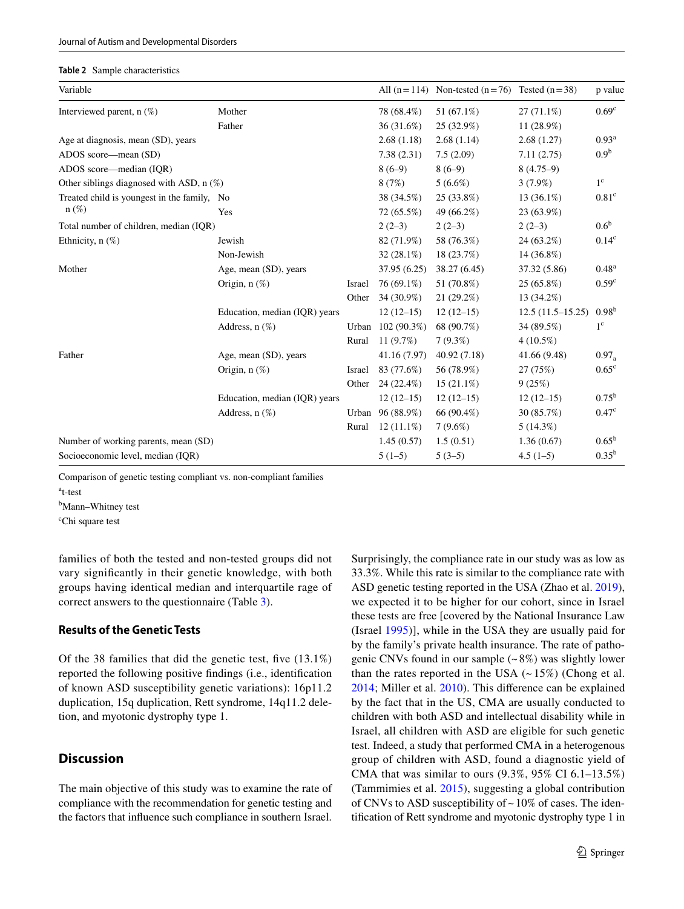#### <span id="page-4-0"></span>**Table 2** Sample characteristics

| Variable                                    |                               |        |                   | All $(n=114)$ Non-tested $(n=76)$ Tested $(n=38)$ |                    | p value           |
|---------------------------------------------|-------------------------------|--------|-------------------|---------------------------------------------------|--------------------|-------------------|
| Interviewed parent, $n(\%)$                 | Mother                        |        | 78 (68.4%)        | 51 $(67.1\%)$                                     | $27(71.1\%)$       | 0.69 <sup>c</sup> |
|                                             | Father                        |        | 36(31.6%)         | 25 (32.9%)                                        | 11 (28.9%)         |                   |
| Age at diagnosis, mean (SD), years          |                               |        | 2.68(1.18)        | 2.68(1.14)                                        | 2.68(1.27)         | 0.93 <sup>a</sup> |
| ADOS score—mean (SD)                        |                               |        | 7.38(2.31)        | 7.5(2.09)                                         | 7.11(2.75)         | 0.9 <sup>b</sup>  |
| ADOS score—median (IQR)                     |                               |        | $8(6-9)$          | $8(6-9)$                                          | $8(4.75-9)$        |                   |
| Other siblings diagnosed with ASD, n (%)    |                               |        | 8(7%)             | $5(6.6\%)$                                        | $3(7.9\%)$         | $1^{\circ}$       |
| Treated child is youngest in the family, No |                               |        | 38 (34.5%)        | 25 (33.8%)                                        | 13 (36.1%)         | 0.81 <sup>c</sup> |
| $n(\%)$                                     | Yes                           |        | 72 (65.5%)        | 49 (66.2%)                                        | 23 (63.9%)         |                   |
| Total number of children, median (IQR)      |                               |        | $2(2-3)$          | $2(2-3)$                                          | $2(2-3)$           | 0.6 <sup>b</sup>  |
| Ethnicity, $n$ $(\%)$                       | Jewish                        |        | 82 (71.9%)        | 58 (76.3%)                                        | 24 (63.2%)         | 0.14 <sup>c</sup> |
|                                             | Non-Jewish                    |        | $32(28.1\%)$      | 18 (23.7%)                                        | 14 (36.8%)         |                   |
| Mother                                      | Age, mean (SD), years         |        | 37.95 (6.25)      | 38.27 (6.45)                                      | 37.32 (5.86)       | $0.48^{a}$        |
|                                             | Origin, $n$ $(\%)$            | Israel | 76 (69.1%)        | 51 (70.8%)                                        | 25 (65.8%)         | 0.59 <sup>c</sup> |
|                                             |                               | Other  | 34 (30.9%)        | 21(29.2%)                                         | 13 (34.2%)         |                   |
|                                             | Education, median (IQR) years |        | $12(12-15)$       | $12(12-15)$                                       | $12.5(11.5-15.25)$ | $0.98^{b}$        |
|                                             | Address, $n$ $(\%)$           |        | Urban 102 (90.3%) | 68 (90.7%)                                        | 34 (89.5%)         | $1^{\circ}$       |
|                                             |                               | Rural  | 11 $(9.7%)$       | $7(9.3\%)$                                        | $4(10.5\%)$        |                   |
| Father                                      | Age, mean (SD), years         |        | 41.16 (7.97)      | 40.92 (7.18)                                      | 41.66 (9.48)       | $0.97_a$          |
|                                             | Origin, $n$ $(\%)$            | Israel | 83 (77.6%)        | 56 (78.9%)                                        | 27 (75%)           | 0.65 <sup>c</sup> |
|                                             |                               | Other  | 24 (22.4%)        | $15(21.1\%)$                                      | 9(25%)             |                   |
|                                             | Education, median (IOR) years |        | $12(12-15)$       | $12(12-15)$                                       | $12(12-15)$        | $0.75^{\rm b}$    |
|                                             | Address, $n$ $(\%)$           |        | Urban 96 (88.9%)  | 66 (90.4%)                                        | 30 (85.7%)         | 0.47 <sup>c</sup> |
|                                             |                               | Rural  | $12(11.1\%)$      | $7(9.6\%)$                                        | $5(14.3\%)$        |                   |
| Number of working parents, mean (SD)        |                               |        | 1.45(0.57)        | 1.5(0.51)                                         | 1.36(0.67)         | $0.65^{\rm b}$    |
| Socioeconomic level, median (IQR)           |                               |        | $5(1-5)$          | $5(3-5)$                                          | $4.5(1-5)$         | $0.35^{b}$        |
|                                             |                               |        |                   |                                                   |                    |                   |

Comparison of genetic testing compliant vs. non-compliant families

a t-test

<sup>b</sup>Mann–Whitney test

c Chi square test

families of both the tested and non-tested groups did not vary signifcantly in their genetic knowledge, with both groups having identical median and interquartile rage of correct answers to the questionnaire (Table [3\)](#page-5-0).

### **Results of the Genetic Tests**

Of the 38 families that did the genetic test, fve (13.1%) reported the following positive fndings (i.e., identifcation of known ASD susceptibility genetic variations): 16p11.2 duplication, 15q duplication, Rett syndrome, 14q11.2 deletion, and myotonic dystrophy type 1.

# **Discussion**

The main objective of this study was to examine the rate of compliance with the recommendation for genetic testing and the factors that infuence such compliance in southern Israel.

Surprisingly, the compliance rate in our study was as low as 33.3%. While this rate is similar to the compliance rate with ASD genetic testing reported in the USA (Zhao et al. [2019](#page-8-10)), we expected it to be higher for our cohort, since in Israel these tests are free [covered by the National Insurance Law (Israel [1995\)](#page-7-25)], while in the USA they are usually paid for by the family's private health insurance. The rate of pathogenic CNVs found in our sample  $(-8%)$  was slightly lower than the rates reported in the USA  $(-15\%)$  (Chong et al. [2014](#page-7-30); Miller et al. [2010](#page-7-31)). This diference can be explained by the fact that in the US, CMA are usually conducted to children with both ASD and intellectual disability while in Israel, all children with ASD are eligible for such genetic test. Indeed, a study that performed CMA in a heterogenous group of children with ASD, found a diagnostic yield of CMA that was similar to ours (9.3%, 95% CI 6.1–13.5%) (Tammimies et al. [2015\)](#page-8-11), suggesting a global contribution of CNVs to ASD susceptibility of  $\sim$  10% of cases. The identifcation of Rett syndrome and myotonic dystrophy type 1 in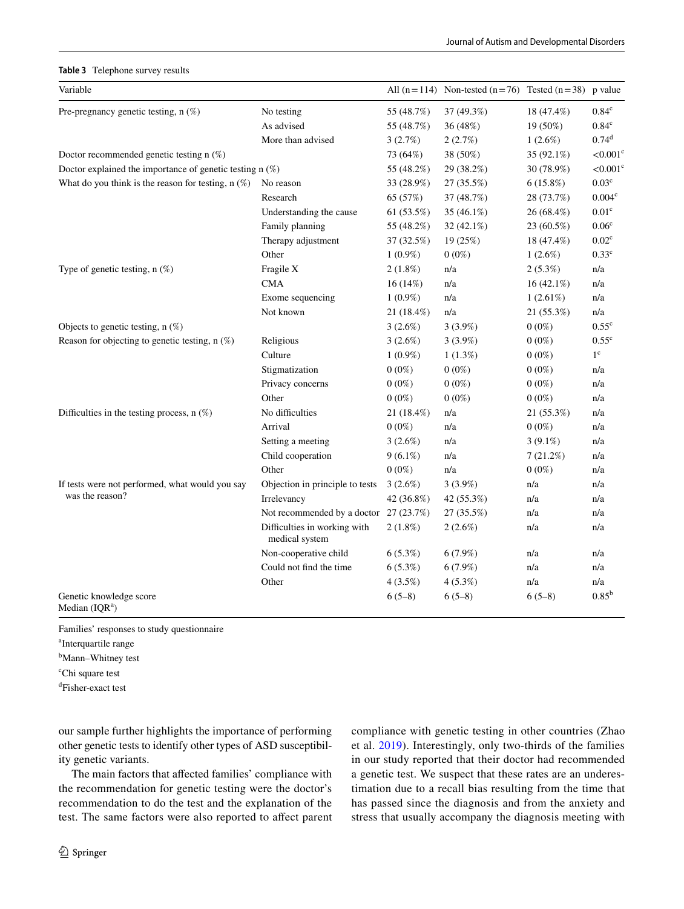#### <span id="page-5-0"></span>**Table 3** Telephone survey results

| Variable                                                           |                                                |            | All $(n=114)$ Non-tested $(n=76)$ Tested $(n=38)$ p value |              |                        |
|--------------------------------------------------------------------|------------------------------------------------|------------|-----------------------------------------------------------|--------------|------------------------|
| Pre-pregnancy genetic testing, $n$ (%)                             | No testing                                     | 55 (48.7%) | 37 (49.3%)                                                | 18 (47.4%)   | 0.84 <sup>c</sup>      |
|                                                                    | As advised                                     | 55 (48.7%) | 36 (48%)                                                  | 19 (50%)     | $0.84^{\rm c}$         |
|                                                                    | More than advised                              | 3(2.7%)    | 2(2.7%)                                                   | 1(2.6%)      | $0.74^d$               |
| Doctor recommended genetic testing n (%)                           |                                                | 73 (64%)   | 38 (50%)                                                  | 35 (92.1%)   | $< 0.001$ <sup>c</sup> |
| Doctor explained the importance of genetic testing $n$ (%)         |                                                | 55 (48.2%) | 29 (38.2%)                                                | 30 (78.9%)   | $< 0.001$ <sup>c</sup> |
| What do you think is the reason for testing, $n$ (%)               | No reason                                      | 33 (28.9%) | 27 (35.5%)                                                | $6(15.8\%)$  | 0.03 <sup>c</sup>      |
|                                                                    | Research                                       | 65 (57%)   | 37 (48.7%)                                                | 28 (73.7%)   | 0.004 <sup>c</sup>     |
|                                                                    | Understanding the cause                        | 61(53.5%)  | 35 $(46.1\%)$                                             | 26 (68.4%)   | 0.01 <sup>c</sup>      |
|                                                                    | Family planning                                | 55 (48.2%) | 32 $(42.1\%)$                                             | 23 (60.5%)   | $0.06^{\rm c}$         |
|                                                                    | Therapy adjustment                             | 37 (32.5%) | 19 (25%)                                                  | 18 (47.4%)   | $0.02^{\rm c}$         |
|                                                                    | Other                                          | $1(0.9\%)$ | $0(0\%)$                                                  | $1(2.6\%)$   | $0.33^{\circ}$         |
| Type of genetic testing, $n$ (%)                                   | Fragile X                                      | $2(1.8\%)$ | n/a                                                       | $2(5.3\%)$   | n/a                    |
|                                                                    | <b>CMA</b>                                     | 16(14%)    | n/a                                                       | $16(42.1\%)$ | n/a                    |
|                                                                    | Exome sequencing                               | $1(0.9\%)$ | n/a                                                       | $1(2.61\%)$  | n/a                    |
|                                                                    | Not known                                      | 21 (18.4%) | n/a                                                       | 21 (55.3%)   | n/a                    |
| Objects to genetic testing, $n$ (%)                                |                                                | 3(2.6%)    | 3(3.9%)                                                   | $0(0\%)$     | 0.55 <sup>c</sup>      |
| Reason for objecting to genetic testing, $n$ (%)                   | Religious                                      | 3(2.6%)    | $3(3.9\%)$                                                | $0(0\%)$     | $0.55^{\circ}$         |
|                                                                    | Culture                                        | $1(0.9\%)$ | $1(1.3\%)$                                                | $0(0\%)$     | $1^{\circ}$            |
|                                                                    | Stigmatization                                 | $0(0\%)$   | $0(0\%)$                                                  | $0(0\%)$     | n/a                    |
|                                                                    | Privacy concerns                               | $0(0\%)$   | $0(0\%)$                                                  | $0(0\%)$     | n/a                    |
|                                                                    | Other                                          | $0(0\%)$   | $0(0\%)$                                                  | $0(0\%)$     | n/a                    |
| Difficulties in the testing process, $n$ (%)                       | No difficulties                                | 21 (18.4%) | n/a                                                       | 21 (55.3%)   | n/a                    |
|                                                                    | Arrival                                        | $0(0\%)$   | n/a                                                       | $0(0\%)$     | n/a                    |
|                                                                    | Setting a meeting                              | $3(2.6\%)$ | n/a                                                       | $3(9.1\%)$   | n/a                    |
|                                                                    | Child cooperation                              | $9(6.1\%)$ | n/a                                                       | 7(21.2%)     | n/a                    |
|                                                                    | Other                                          | $0(0\%)$   | n/a                                                       | $0(0\%)$     | n/a                    |
| If tests were not performed, what would you say<br>was the reason? | Objection in principle to tests                | 3(2.6%)    | 3(3.9%)                                                   | n/a          | n/a                    |
|                                                                    | Irrelevancy                                    | 42 (36.8%) | 42 (55.3%)                                                | n/a          | n/a                    |
|                                                                    | Not recommended by a doctor 27 (23.7%)         |            | 27 (35.5%)                                                | n/a          | n/a                    |
|                                                                    | Difficulties in working with<br>medical system | $2(1.8\%)$ | $2(2.6\%)$                                                | n/a          | n/a                    |
|                                                                    | Non-cooperative child                          | $6(5.3\%)$ | $6(7.9\%)$                                                | n/a          | n/a                    |
|                                                                    | Could not find the time                        | 6(5.3%)    | 6(7.9%)                                                   | n/a          | n/a                    |
|                                                                    | Other                                          | 4(3.5%)    | $4(5.3\%)$                                                | n/a          | n/a                    |
| Genetic knowledge score<br>Median $(IQRa)$                         |                                                | $6(5-8)$   | $6(5-8)$                                                  | $6(5-8)$     | $0.85^{\rm b}$         |

Families' responses to study questionnaire

a Interquartile range

<sup>b</sup>Mann–Whitney test

c Chi square test

d Fisher-exact test

our sample further highlights the importance of performing other genetic tests to identify other types of ASD susceptibility genetic variants.

The main factors that afected families' compliance with the recommendation for genetic testing were the doctor's recommendation to do the test and the explanation of the test. The same factors were also reported to affect parent compliance with genetic testing in other countries (Zhao et al. [2019](#page-8-10)). Interestingly, only two-thirds of the families in our study reported that their doctor had recommended a genetic test. We suspect that these rates are an underestimation due to a recall bias resulting from the time that has passed since the diagnosis and from the anxiety and stress that usually accompany the diagnosis meeting with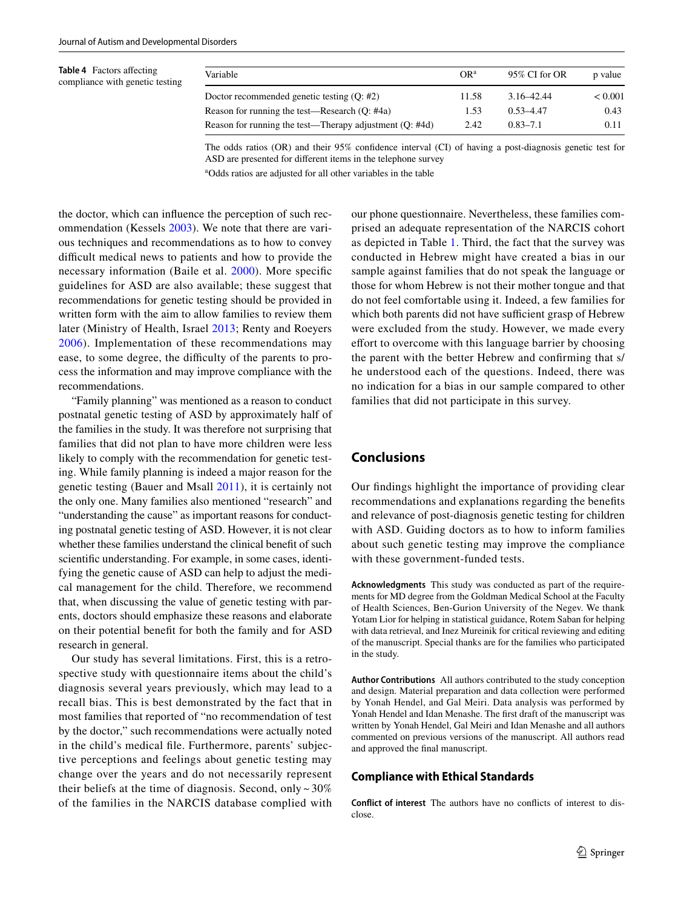<span id="page-6-0"></span>**Table 4** Factors afecting compliance with genetic testing

| Variable                                                | OR <sup>a</sup> | 95% CI for OR | p value      |
|---------------------------------------------------------|-----------------|---------------|--------------|
| Doctor recommended genetic testing $(O; #2)$            | 11.58           | 3.16–42.44    | ${}_{0.001}$ |
| Reason for running the test—Research (Q: #4a)           | 1.53            | $0.53 - 4.47$ | 0.43         |
| Reason for running the test—Therapy adjustment (Q: #4d) | 2.42            | $0.83 - 7.1$  | 0.11         |

The odds ratios (OR) and their 95% confdence interval (CI) of having a post-diagnosis genetic test for ASD are presented for diferent items in the telephone survey

a Odds ratios are adjusted for all other variables in the table

the doctor, which can infuence the perception of such recommendation (Kessels [2003](#page-7-32)). We note that there are various techniques and recommendations as to how to convey difficult medical news to patients and how to provide the necessary information (Baile et al. [2000](#page-7-33)). More specifc guidelines for ASD are also available; these suggest that recommendations for genetic testing should be provided in written form with the aim to allow families to review them later (Ministry of Health, Israel [2013](#page-7-24); Renty and Roeyers [2006](#page-8-12)). Implementation of these recommendations may ease, to some degree, the difficulty of the parents to process the information and may improve compliance with the recommendations.

"Family planning" was mentioned as a reason to conduct postnatal genetic testing of ASD by approximately half of the families in the study. It was therefore not surprising that families that did not plan to have more children were less likely to comply with the recommendation for genetic testing. While family planning is indeed a major reason for the genetic testing (Bauer and Msall [2011](#page-7-20)), it is certainly not the only one. Many families also mentioned "research" and "understanding the cause" as important reasons for conducting postnatal genetic testing of ASD. However, it is not clear whether these families understand the clinical beneft of such scientifc understanding. For example, in some cases, identifying the genetic cause of ASD can help to adjust the medical management for the child. Therefore, we recommend that, when discussing the value of genetic testing with parents, doctors should emphasize these reasons and elaborate on their potential beneft for both the family and for ASD research in general.

Our study has several limitations. First, this is a retrospective study with questionnaire items about the child's diagnosis several years previously, which may lead to a recall bias. This is best demonstrated by the fact that in most families that reported of "no recommendation of test by the doctor," such recommendations were actually noted in the child's medical fle. Furthermore, parents' subjective perceptions and feelings about genetic testing may change over the years and do not necessarily represent their beliefs at the time of diagnosis. Second, only  $\sim$  30% of the families in the NARCIS database complied with our phone questionnaire. Nevertheless, these families comprised an adequate representation of the NARCIS cohort as depicted in Table [1](#page-3-0). Third, the fact that the survey was conducted in Hebrew might have created a bias in our sample against families that do not speak the language or those for whom Hebrew is not their mother tongue and that do not feel comfortable using it. Indeed, a few families for which both parents did not have sufficient grasp of Hebrew were excluded from the study. However, we made every effort to overcome with this language barrier by choosing the parent with the better Hebrew and confrming that s/ he understood each of the questions. Indeed, there was no indication for a bias in our sample compared to other families that did not participate in this survey.

# **Conclusions**

Our fndings highlight the importance of providing clear recommendations and explanations regarding the benefts and relevance of post-diagnosis genetic testing for children with ASD. Guiding doctors as to how to inform families about such genetic testing may improve the compliance with these government-funded tests.

**Acknowledgments** This study was conducted as part of the requirements for MD degree from the Goldman Medical School at the Faculty of Health Sciences, Ben-Gurion University of the Negev. We thank Yotam Lior for helping in statistical guidance, Rotem Saban for helping with data retrieval, and Inez Mureinik for critical reviewing and editing of the manuscript. Special thanks are for the families who participated in the study.

**Author Contributions** All authors contributed to the study conception and design. Material preparation and data collection were performed by Yonah Hendel, and Gal Meiri. Data analysis was performed by Yonah Hendel and Idan Menashe. The frst draft of the manuscript was written by Yonah Hendel, Gal Meiri and Idan Menashe and all authors commented on previous versions of the manuscript. All authors read and approved the fnal manuscript.

### **Compliance with Ethical Standards**

**Conflict of interest** The authors have no conficts of interest to disclose.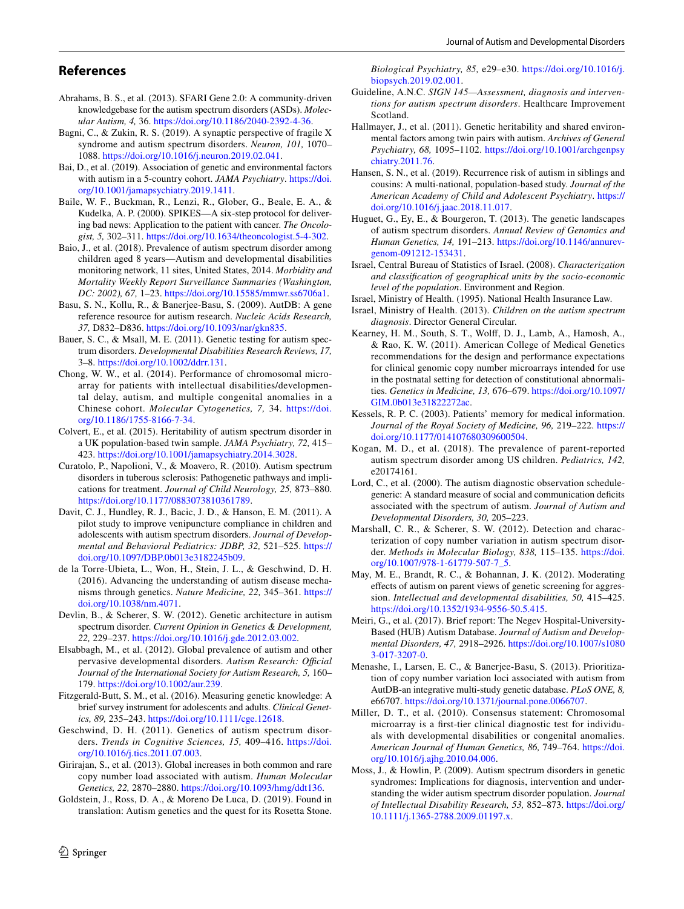### **References**

- <span id="page-7-16"></span>Abrahams, B. S., et al. (2013). SFARI Gene 2.0: A community-driven knowledgebase for the autism spectrum disorders (ASDs). *Molecular Autism, 4,* 36. [https://doi.org/10.1186/2040-2392-4-36.](https://doi.org/10.1186/2040-2392-4-36)
- <span id="page-7-10"></span>Bagni, C., & Zukin, R. S. (2019). A synaptic perspective of fragile X syndrome and autism spectrum disorders. *Neuron, 101,* 1070– 1088.<https://doi.org/10.1016/j.neuron.2019.02.041>.
- <span id="page-7-3"></span>Bai, D., et al. (2019). Association of genetic and environmental factors with autism in a 5-country cohort. *JAMA Psychiatry*. [https://doi.](https://doi.org/10.1001/jamapsychiatry.2019.1411) [org/10.1001/jamapsychiatry.2019.1411.](https://doi.org/10.1001/jamapsychiatry.2019.1411)
- <span id="page-7-33"></span>Baile, W. F., Buckman, R., Lenzi, R., Glober, G., Beale, E. A., & Kudelka, A. P. (2000). SPIKES—A six-step protocol for delivering bad news: Application to the patient with cancer. *The Oncologist, 5,* 302–311.<https://doi.org/10.1634/theoncologist.5-4-302>.
- <span id="page-7-0"></span>Baio, J., et al. (2018). Prevalence of autism spectrum disorder among children aged 8 years—Autism and developmental disabilities monitoring network, 11 sites, United States, 2014. *Morbidity and Mortality Weekly Report Surveillance Summaries (Washington, DC: 2002), 67,* 1–23. [https://doi.org/10.15585/mmwr.ss6706a1.](https://doi.org/10.15585/mmwr.ss6706a1)
- <span id="page-7-17"></span>Basu, S. N., Kollu, R., & Banerjee-Basu, S. (2009). AutDB: A gene reference resource for autism research. *Nucleic Acids Research, 37,* D832–D836. [https://doi.org/10.1093/nar/gkn835.](https://doi.org/10.1093/nar/gkn835)
- <span id="page-7-20"></span>Bauer, S. C., & Msall, M. E. (2011). Genetic testing for autism spectrum disorders. *Developmental Disabilities Research Reviews, 17,* 3–8. [https://doi.org/10.1002/ddrr.131.](https://doi.org/10.1002/ddrr.131)
- <span id="page-7-30"></span>Chong, W. W., et al. (2014). Performance of chromosomal microarray for patients with intellectual disabilities/developmental delay, autism, and multiple congenital anomalies in a Chinese cohort. *Molecular Cytogenetics, 7,* 34. [https://doi.](https://doi.org/10.1186/1755-8166-7-34) [org/10.1186/1755-8166-7-34.](https://doi.org/10.1186/1755-8166-7-34)
- <span id="page-7-4"></span>Colvert, E., et al. (2015). Heritability of autism spectrum disorder in a UK population-based twin sample. *JAMA Psychiatry, 72,* 415– 423. [https://doi.org/10.1001/jamapsychiatry.2014.3028.](https://doi.org/10.1001/jamapsychiatry.2014.3028)
- <span id="page-7-11"></span>Curatolo, P., Napolioni, V., & Moavero, R. (2010). Autism spectrum disorders in tuberous sclerosis: Pathogenetic pathways and implications for treatment. *Journal of Child Neurology, 25,* 873–880. [https://doi.org/10.1177/0883073810361789.](https://doi.org/10.1177/0883073810361789)
- <span id="page-7-23"></span>Davit, C. J., Hundley, R. J., Bacic, J. D., & Hanson, E. M. (2011). A pilot study to improve venipuncture compliance in children and adolescents with autism spectrum disorders. *Journal of Developmental and Behavioral Pediatrics: JDBP, 32,* 521–525. [https://](https://doi.org/10.1097/DBP.0b013e3182245b09) [doi.org/10.1097/DBP.0b013e3182245b09.](https://doi.org/10.1097/DBP.0b013e3182245b09)
- <span id="page-7-7"></span>de la Torre-Ubieta, L., Won, H., Stein, J. L., & Geschwind, D. H. (2016). Advancing the understanding of autism disease mechanisms through genetics. *Nature Medicine, 22,* 345–361. [https://](https://doi.org/10.1038/nm.4071) [doi.org/10.1038/nm.4071.](https://doi.org/10.1038/nm.4071)
- <span id="page-7-8"></span>Devlin, B., & Scherer, S. W. (2012). Genetic architecture in autism spectrum disorder. *Current Opinion in Genetics & Development, 22,* 229–237.<https://doi.org/10.1016/j.gde.2012.03.002>.
- <span id="page-7-1"></span>Elsabbagh, M., et al. (2012). Global prevalence of autism and other pervasive developmental disorders. Autism Research: Official *Journal of the International Society for Autism Research, 5,* 160– 179. [https://doi.org/10.1002/aur.239.](https://doi.org/10.1002/aur.239)
- <span id="page-7-27"></span>Fitzgerald-Butt, S. M., et al. (2016). Measuring genetic knowledge: A brief survey instrument for adolescents and adults. *Clinical Genetics, 89,* 235–243. [https://doi.org/10.1111/cge.12618.](https://doi.org/10.1111/cge.12618)
- <span id="page-7-18"></span>Geschwind, D. H. (2011). Genetics of autism spectrum disorders. *Trends in Cognitive Sciences, 15,* 409–416. [https://doi.](https://doi.org/10.1016/j.tics.2011.07.003) [org/10.1016/j.tics.2011.07.003.](https://doi.org/10.1016/j.tics.2011.07.003)
- <span id="page-7-13"></span>Girirajan, S., et al. (2013). Global increases in both common and rare copy number load associated with autism. *Human Molecular Genetics, 22,* 2870–2880. [https://doi.org/10.1093/hmg/ddt136.](https://doi.org/10.1093/hmg/ddt136)
- <span id="page-7-9"></span>Goldstein, J., Ross, D. A., & Moreno De Luca, D. (2019). Found in translation: Autism genetics and the quest for its Rosetta Stone.

 $\circled{2}$  Springer

*Biological Psychiatry, 85,* e29–e30. [https://doi.org/10.1016/j.](https://doi.org/10.1016/j.biopsych.2019.02.001) [biopsych.2019.02.001](https://doi.org/10.1016/j.biopsych.2019.02.001).

- Guideline, A.N.C. *SIGN 145—Assessment, diagnosis and interventions for autism spectrum disorders*. Healthcare Improvement Scotland.
- <span id="page-7-5"></span>Hallmayer, J., et al. (2011). Genetic heritability and shared environmental factors among twin pairs with autism. *Archives of General Psychiatry, 68,* 1095–1102. [https://doi.org/10.1001/archgenpsy](https://doi.org/10.1001/archgenpsychiatry.2011.76) [chiatry.2011.76.](https://doi.org/10.1001/archgenpsychiatry.2011.76)
- <span id="page-7-6"></span>Hansen, S. N., et al. (2019). Recurrence risk of autism in siblings and cousins: A multi-national, population-based study. *Journal of the American Academy of Child and Adolescent Psychiatry*. [https://](https://doi.org/10.1016/j.jaac.2018.11.017) [doi.org/10.1016/j.jaac.2018.11.017.](https://doi.org/10.1016/j.jaac.2018.11.017)
- <span id="page-7-19"></span>Huguet, G., Ey, E., & Bourgeron, T. (2013). The genetic landscapes of autism spectrum disorders. *Annual Review of Genomics and Human Genetics, 14,* 191–213. [https://doi.org/10.1146/annurev](https://doi.org/10.1146/annurev-genom-091212-153431)[genom-091212-153431.](https://doi.org/10.1146/annurev-genom-091212-153431)
- <span id="page-7-29"></span>Israel, Central Bureau of Statistics of Israel. (2008). *Characterization and classifcation of geographical units by the socio-economic level of the population*. Environment and Region.
- <span id="page-7-25"></span>Israel, Ministry of Health. (1995). National Health Insurance Law.
- <span id="page-7-24"></span>Israel, Ministry of Health. (2013). *Children on the autism spectrum diagnosis*. Director General Circular.
- <span id="page-7-21"></span>Kearney, H. M., South, S. T., Wolf, D. J., Lamb, A., Hamosh, A., & Rao, K. W. (2011). American College of Medical Genetics recommendations for the design and performance expectations for clinical genomic copy number microarrays intended for use in the postnatal setting for detection of constitutional abnormalities. *Genetics in Medicine, 13,* 676–679. [https://doi.org/10.1097/](https://doi.org/10.1097/GIM.0b013e31822272ac) [GIM.0b013e31822272ac](https://doi.org/10.1097/GIM.0b013e31822272ac).
- <span id="page-7-32"></span>Kessels, R. P. C. (2003). Patients' memory for medical information. *Journal of the Royal Society of Medicine, 96,* 219–222. [https://](https://doi.org/10.1177/014107680309600504) [doi.org/10.1177/014107680309600504.](https://doi.org/10.1177/014107680309600504)
- <span id="page-7-2"></span>Kogan, M. D., et al. (2018). The prevalence of parent-reported autism spectrum disorder among US children. *Pediatrics, 142,* e20174161.
- <span id="page-7-28"></span>Lord, C., et al. (2000). The autism diagnostic observation schedulegeneric: A standard measure of social and communication deficits associated with the spectrum of autism. *Journal of Autism and Developmental Disorders, 30,* 205–223.
- <span id="page-7-14"></span>Marshall, C. R., & Scherer, S. W. (2012). Detection and characterization of copy number variation in autism spectrum disorder. *Methods in Molecular Biology, 838,* 115–135. [https://doi.](https://doi.org/10.1007/978-1-61779-507-7_5) [org/10.1007/978-1-61779-507-7\\_5](https://doi.org/10.1007/978-1-61779-507-7_5).
- <span id="page-7-22"></span>May, M. E., Brandt, R. C., & Bohannan, J. K. (2012). Moderating efects of autism on parent views of genetic screening for aggression. *Intellectual and developmental disabilities, 50,* 415–425. <https://doi.org/10.1352/1934-9556-50.5.415>.
- <span id="page-7-26"></span>Meiri, G., et al. (2017). Brief report: The Negev Hospital-University-Based (HUB) Autism Database. *Journal of Autism and Developmental Disorders, 47,* 2918–2926. [https://doi.org/10.1007/s1080](https://doi.org/10.1007/s10803-017-3207-0) [3-017-3207-0](https://doi.org/10.1007/s10803-017-3207-0).
- <span id="page-7-15"></span>Menashe, I., Larsen, E. C., & Banerjee-Basu, S. (2013). Prioritization of copy number variation loci associated with autism from AutDB-an integrative multi-study genetic database. *PLoS ONE, 8,* e66707. <https://doi.org/10.1371/journal.pone.0066707>.
- <span id="page-7-31"></span>Miller, D. T., et al. (2010). Consensus statement: Chromosomal microarray is a frst-tier clinical diagnostic test for individuals with developmental disabilities or congenital anomalies. *American Journal of Human Genetics, 86,* 749–764. [https://doi.](https://doi.org/10.1016/j.ajhg.2010.04.006) [org/10.1016/j.ajhg.2010.04.006.](https://doi.org/10.1016/j.ajhg.2010.04.006)
- <span id="page-7-12"></span>Moss, J., & Howlin, P. (2009). Autism spectrum disorders in genetic syndromes: Implications for diagnosis, intervention and understanding the wider autism spectrum disorder population. *Journal of Intellectual Disability Research, 53,* 852–873. [https://doi.org/](https://doi.org/10.1111/j.1365-2788.2009.01197.x) [10.1111/j.1365-2788.2009.01197.x.](https://doi.org/10.1111/j.1365-2788.2009.01197.x)